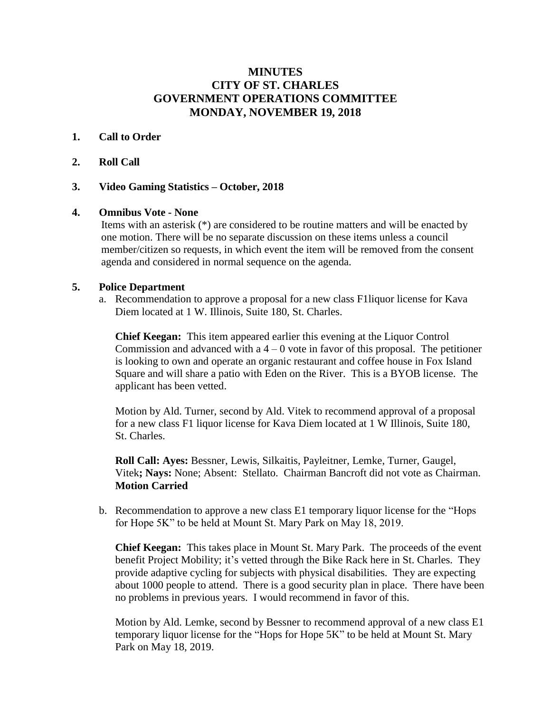# **MINUTES CITY OF ST. CHARLES GOVERNMENT OPERATIONS COMMITTEE MONDAY, NOVEMBER 19, 2018**

## **1. Call to Order**

### **2. Roll Call**

### **3. Video Gaming Statistics – October, 2018**

#### **4. Omnibus Vote - None**

Items with an asterisk (\*) are considered to be routine matters and will be enacted by one motion. There will be no separate discussion on these items unless a council member/citizen so requests, in which event the item will be removed from the consent agenda and considered in normal sequence on the agenda.

#### **5. Police Department**

a. Recommendation to approve a proposal for a new class F1liquor license for Kava Diem located at 1 W. Illinois, Suite 180, St. Charles.

**Chief Keegan:** This item appeared earlier this evening at the Liquor Control Commission and advanced with a  $4 - 0$  vote in favor of this proposal. The petitioner is looking to own and operate an organic restaurant and coffee house in Fox Island Square and will share a patio with Eden on the River. This is a BYOB license. The applicant has been vetted.

Motion by Ald. Turner, second by Ald. Vitek to recommend approval of a proposal for a new class F1 liquor license for Kava Diem located at 1 W Illinois, Suite 180, St. Charles.

**Roll Call: Ayes:** Bessner, Lewis, Silkaitis, Payleitner, Lemke, Turner, Gaugel, Vitek**; Nays:** None; Absent: Stellato. Chairman Bancroft did not vote as Chairman. **Motion Carried**

b. Recommendation to approve a new class E1 temporary liquor license for the "Hops for Hope 5K" to be held at Mount St. Mary Park on May 18, 2019.

**Chief Keegan:** This takes place in Mount St. Mary Park. The proceeds of the event benefit Project Mobility; it's vetted through the Bike Rack here in St. Charles. They provide adaptive cycling for subjects with physical disabilities. They are expecting about 1000 people to attend. There is a good security plan in place. There have been no problems in previous years. I would recommend in favor of this.

Motion by Ald. Lemke, second by Bessner to recommend approval of a new class E1 temporary liquor license for the "Hops for Hope 5K" to be held at Mount St. Mary Park on May 18, 2019.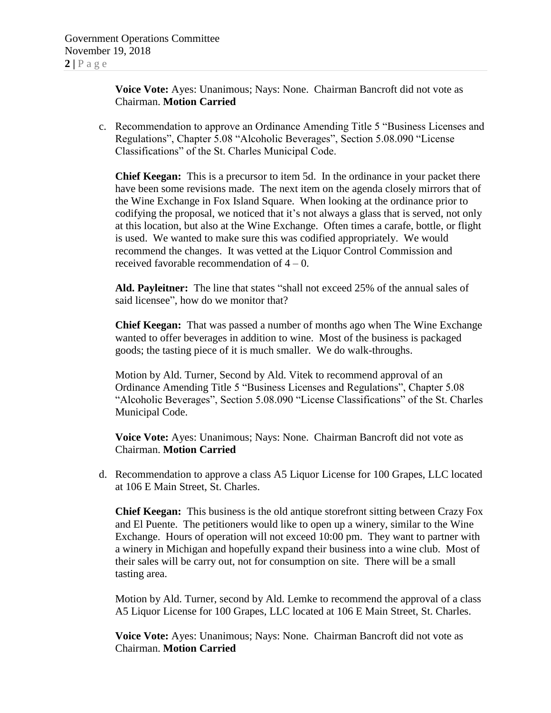**Voice Vote:** Ayes: Unanimous; Nays: None. Chairman Bancroft did not vote as Chairman. **Motion Carried**

c. Recommendation to approve an Ordinance Amending Title 5 "Business Licenses and Regulations", Chapter 5.08 "Alcoholic Beverages", Section 5.08.090 "License Classifications" of the St. Charles Municipal Code.

**Chief Keegan:** This is a precursor to item 5d. In the ordinance in your packet there have been some revisions made. The next item on the agenda closely mirrors that of the Wine Exchange in Fox Island Square. When looking at the ordinance prior to codifying the proposal, we noticed that it's not always a glass that is served, not only at this location, but also at the Wine Exchange. Often times a carafe, bottle, or flight is used. We wanted to make sure this was codified appropriately. We would recommend the changes. It was vetted at the Liquor Control Commission and received favorable recommendation of 4 – 0.

**Ald. Payleitner:** The line that states "shall not exceed 25% of the annual sales of said licensee", how do we monitor that?

**Chief Keegan:** That was passed a number of months ago when The Wine Exchange wanted to offer beverages in addition to wine. Most of the business is packaged goods; the tasting piece of it is much smaller. We do walk-throughs.

Motion by Ald. Turner, Second by Ald. Vitek to recommend approval of an Ordinance Amending Title 5 "Business Licenses and Regulations", Chapter 5.08 "Alcoholic Beverages", Section 5.08.090 "License Classifications" of the St. Charles Municipal Code.

**Voice Vote:** Ayes: Unanimous; Nays: None. Chairman Bancroft did not vote as Chairman. **Motion Carried**

d. Recommendation to approve a class A5 Liquor License for 100 Grapes, LLC located at 106 E Main Street, St. Charles.

**Chief Keegan:** This business is the old antique storefront sitting between Crazy Fox and El Puente. The petitioners would like to open up a winery, similar to the Wine Exchange. Hours of operation will not exceed 10:00 pm. They want to partner with a winery in Michigan and hopefully expand their business into a wine club. Most of their sales will be carry out, not for consumption on site. There will be a small tasting area.

Motion by Ald. Turner, second by Ald. Lemke to recommend the approval of a class A5 Liquor License for 100 Grapes, LLC located at 106 E Main Street, St. Charles.

**Voice Vote:** Ayes: Unanimous; Nays: None. Chairman Bancroft did not vote as Chairman. **Motion Carried**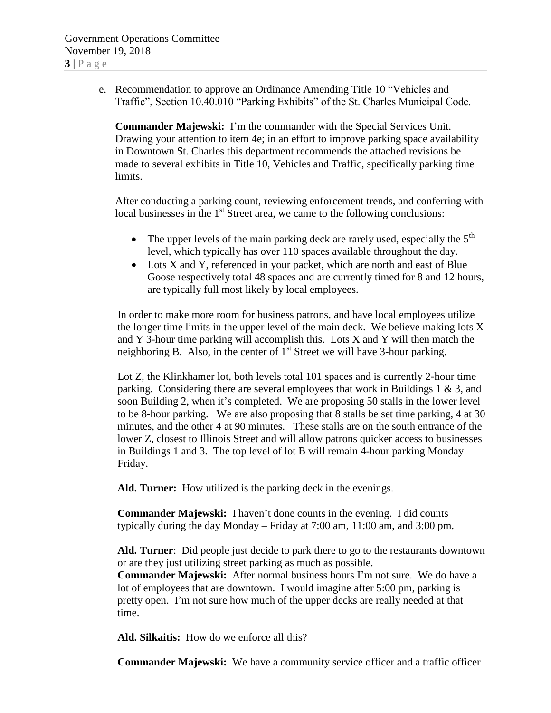e. Recommendation to approve an Ordinance Amending Title 10 "Vehicles and Traffic", Section 10.40.010 "Parking Exhibits" of the St. Charles Municipal Code.

**Commander Majewski:** I'm the commander with the Special Services Unit. Drawing your attention to item 4e; in an effort to improve parking space availability in Downtown St. Charles this department recommends the attached revisions be made to several exhibits in Title 10, Vehicles and Traffic, specifically parking time limits.

After conducting a parking count, reviewing enforcement trends, and conferring with local businesses in the  $1<sup>st</sup>$  Street area, we came to the following conclusions:

- The upper levels of the main parking deck are rarely used, especially the  $5<sup>th</sup>$ level, which typically has over 110 spaces available throughout the day.
- Lots X and Y, referenced in your packet, which are north and east of Blue Goose respectively total 48 spaces and are currently timed for 8 and 12 hours, are typically full most likely by local employees.

In order to make more room for business patrons, and have local employees utilize the longer time limits in the upper level of the main deck. We believe making lots X and Y 3-hour time parking will accomplish this. Lots X and Y will then match the neighboring B. Also, in the center of  $1<sup>st</sup>$  Street we will have 3-hour parking.

Lot Z, the Klinkhamer lot, both levels total 101 spaces and is currently 2-hour time parking. Considering there are several employees that work in Buildings 1 & 3, and soon Building 2, when it's completed. We are proposing 50 stalls in the lower level to be 8-hour parking. We are also proposing that 8 stalls be set time parking, 4 at 30 minutes, and the other 4 at 90 minutes. These stalls are on the south entrance of the lower Z, closest to Illinois Street and will allow patrons quicker access to businesses in Buildings 1 and 3. The top level of lot B will remain 4-hour parking Monday – Friday.

**Ald. Turner:** How utilized is the parking deck in the evenings.

**Commander Majewski:** I haven't done counts in the evening. I did counts typically during the day Monday – Friday at 7:00 am, 11:00 am, and 3:00 pm.

**Ald. Turner**: Did people just decide to park there to go to the restaurants downtown or are they just utilizing street parking as much as possible. **Commander Majewski:** After normal business hours I'm not sure. We do have a lot of employees that are downtown. I would imagine after 5:00 pm, parking is pretty open. I'm not sure how much of the upper decks are really needed at that time.

**Ald. Silkaitis:** How do we enforce all this?

**Commander Majewski:** We have a community service officer and a traffic officer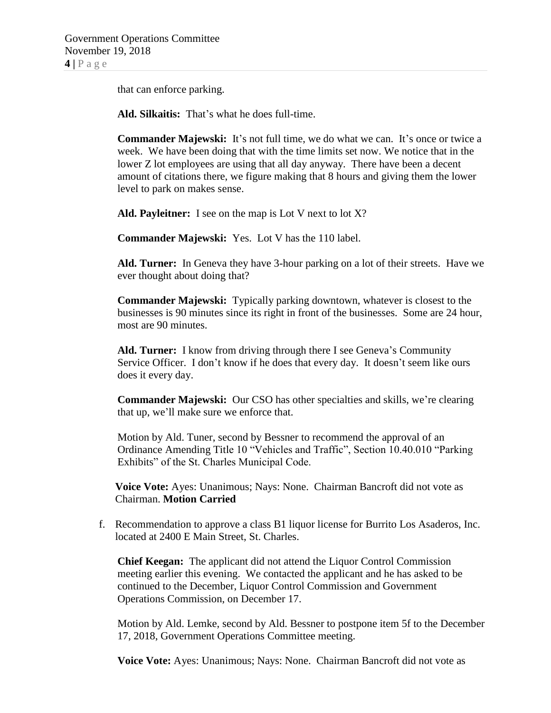that can enforce parking.

**Ald. Silkaitis:** That's what he does full-time.

**Commander Majewski:** It's not full time, we do what we can. It's once or twice a week. We have been doing that with the time limits set now. We notice that in the lower Z lot employees are using that all day anyway. There have been a decent amount of citations there, we figure making that 8 hours and giving them the lower level to park on makes sense.

**Ald. Payleitner:** I see on the map is Lot V next to lot X?

**Commander Majewski:** Yes. Lot V has the 110 label.

**Ald. Turner:** In Geneva they have 3-hour parking on a lot of their streets. Have we ever thought about doing that?

**Commander Majewski:** Typically parking downtown, whatever is closest to the businesses is 90 minutes since its right in front of the businesses. Some are 24 hour, most are 90 minutes.

**Ald. Turner:** I know from driving through there I see Geneva's Community Service Officer. I don't know if he does that every day. It doesn't seem like ours does it every day.

**Commander Majewski:** Our CSO has other specialties and skills, we're clearing that up, we'll make sure we enforce that.

Motion by Ald. Tuner, second by Bessner to recommend the approval of an Ordinance Amending Title 10 "Vehicles and Traffic", Section 10.40.010 "Parking Exhibits" of the St. Charles Municipal Code.

**Voice Vote:** Ayes: Unanimous; Nays: None. Chairman Bancroft did not vote as Chairman. **Motion Carried**

f. Recommendation to approve a class B1 liquor license for Burrito Los Asaderos, Inc. located at 2400 E Main Street, St. Charles.

**Chief Keegan:** The applicant did not attend the Liquor Control Commission meeting earlier this evening. We contacted the applicant and he has asked to be continued to the December, Liquor Control Commission and Government Operations Commission, on December 17.

Motion by Ald. Lemke, second by Ald. Bessner to postpone item 5f to the December 17, 2018, Government Operations Committee meeting.

**Voice Vote:** Ayes: Unanimous; Nays: None. Chairman Bancroft did not vote as